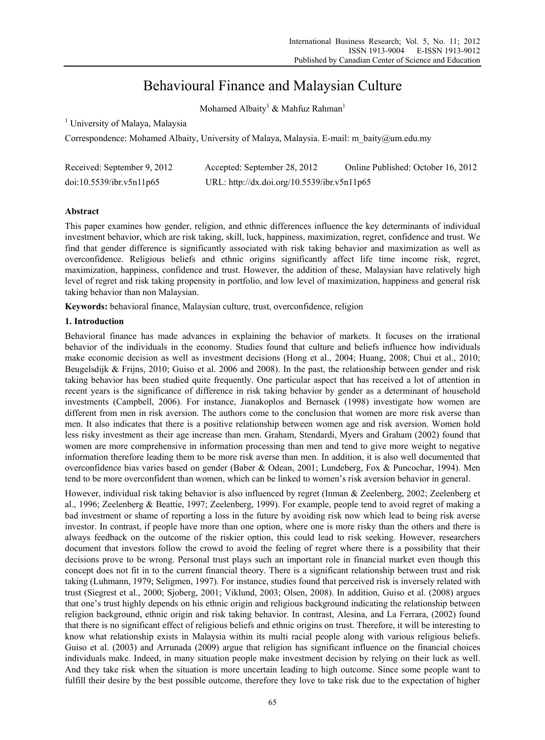# Behavioural Finance and Malaysian Culture

Mohamed Albaity<sup>1</sup> & Mahfuz Rahman<sup>1</sup>

<sup>1</sup> University of Malaya, Malaysia

Correspondence: Mohamed Albaity, University of Malaya, Malaysia. E-mail: m\_baity@um.edu.my

| Received: September 9, 2012 | Accepted: September 28, 2012                | Online Published: October 16, 2012 |
|-----------------------------|---------------------------------------------|------------------------------------|
| doi:10.5539/ibr.v5n11p65    | URL: http://dx.doi.org/10.5539/ibr.v5n11p65 |                                    |

# **Abstract**

This paper examines how gender, religion, and ethnic differences influence the key determinants of individual investment behavior, which are risk taking, skill, luck, happiness, maximization, regret, confidence and trust. We find that gender difference is significantly associated with risk taking behavior and maximization as well as overconfidence. Religious beliefs and ethnic origins significantly affect life time income risk, regret, maximization, happiness, confidence and trust. However, the addition of these, Malaysian have relatively high level of regret and risk taking propensity in portfolio, and low level of maximization, happiness and general risk taking behavior than non Malaysian.

**Keywords:** behavioral finance, Malaysian culture, trust, overconfidence, religion

# **1. Introduction**

Behavioral finance has made advances in explaining the behavior of markets. It focuses on the irrational behavior of the individuals in the economy. Studies found that culture and beliefs influence how individuals make economic decision as well as investment decisions (Hong et al., 2004; Huang, 2008; Chui et al., 2010; Beugelsdijk & Frijns, 2010; Guiso et al. 2006 and 2008). In the past, the relationship between gender and risk taking behavior has been studied quite frequently. One particular aspect that has received a lot of attention in recent years is the significance of difference in risk taking behavior by gender as a determinant of household investments (Campbell, 2006). For instance, Jianakoplos and Bernasek (1998) investigate how women are different from men in risk aversion. The authors come to the conclusion that women are more risk averse than men. It also indicates that there is a positive relationship between women age and risk aversion. Women hold less risky investment as their age increase than men. Graham, Stendardi, Myers and Graham (2002) found that women are more comprehensive in information processing than men and tend to give more weight to negative information therefore leading them to be more risk averse than men. In addition, it is also well documented that overconfidence bias varies based on gender (Baber & Odean, 2001; Lundeberg, Fox & Puncochar, 1994). Men tend to be more overconfident than women, which can be linked to women's risk aversion behavior in general.

However, individual risk taking behavior is also influenced by regret (Inman & Zeelenberg, 2002; Zeelenberg et al., 1996; Zeelenberg & Beattie, 1997; Zeelenberg, 1999). For example, people tend to avoid regret of making a bad investment or shame of reporting a loss in the future by avoiding risk now which lead to being risk averse investor. In contrast, if people have more than one option, where one is more risky than the others and there is always feedback on the outcome of the riskier option, this could lead to risk seeking. However, researchers document that investors follow the crowd to avoid the feeling of regret where there is a possibility that their decisions prove to be wrong. Personal trust plays such an important role in financial market even though this concept does not fit in to the current financial theory. There is a significant relationship between trust and risk taking (Luhmann, 1979; Seligmen, 1997). For instance, studies found that perceived risk is inversely related with trust (Siegrest et al., 2000; Sjoberg, 2001; Viklund, 2003; Olsen, 2008). In addition, Guiso et al. (2008) argues that one's trust highly depends on his ethnic origin and religious background indicating the relationship between religion background, ethnic origin and risk taking behavior. In contrast, Alesina, and La Ferrara, (2002) found that there is no significant effect of religious beliefs and ethnic origins on trust. Therefore, it will be interesting to know what relationship exists in Malaysia within its multi racial people along with various religious beliefs. Guiso et al. (2003) and Arrunada (2009) argue that religion has significant influence on the financial choices individuals make. Indeed, in many situation people make investment decision by relying on their luck as well. And they take risk when the situation is more uncertain leading to high outcome. Since some people want to fulfill their desire by the best possible outcome, therefore they love to take risk due to the expectation of higher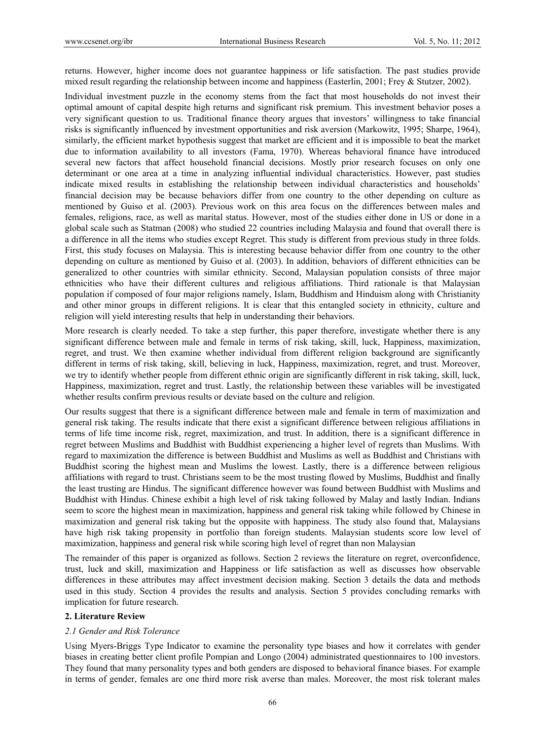returns. However, higher income does not guarantee happiness or life satisfaction. The past studies provide mixed result regarding the relationship between income and happiness (Easterlin, 2001; Frey & Stutzer, 2002).

Individual investment puzzle in the economy stems from the fact that most households do not invest their optimal amount of capital despite high returns and significant risk premium. This investment behavior poses a very significant question to us. Traditional finance theory argues that investors' willingness to take financial risks is significantly influenced by investment opportunities and risk aversion (Markowitz, 1995; Sharpe, 1964), similarly, the efficient market hypothesis suggest that market are efficient and it is impossible to beat the market due to information availability to all investors (Fama, 1970). Whereas behavioral finance have introduced several new factors that affect household financial decisions. Mostly prior research focuses on only one determinant or one area at a time in analyzing influential individual characteristics. However, past studies indicate mixed results in establishing the relationship between individual characteristics and households' financial decision may be because behaviors differ from one country to the other depending on culture as mentioned by Guiso et al. (2003). Previous work on this area focus on the differences between males and females, religions, race, as well as marital status. However, most of the studies either done in US or done in a global scale such as Statman (2008) who studied 22 countries including Malaysia and found that overall there is a difference in all the items who studies except Regret. This study is different from previous study in three folds. First, this study focuses on Malaysia. This is interesting because behavior differ from one country to the other depending on culture as mentioned by Guiso et al. (2003). In addition, behaviors of different ethnicities can be generalized to other countries with similar ethnicity. Second, Malaysian population consists of three major ethnicities who have their different cultures and religious affiliations. Third rationale is that Malaysian population if composed of four major religions namely, Islam, Buddhism and Hinduism along with Christianity and other minor groups in different religions. It is clear that this entangled society in ethnicity, culture and religion will yield interesting results that help in understanding their behaviors.

More research is clearly needed. To take a step further, this paper therefore, investigate whether there is any significant difference between male and female in terms of risk taking, skill, luck, Happiness, maximization, regret, and trust. We then examine whether individual from different religion background are significantly different in terms of risk taking, skill, believing in luck, Happiness, maximization, regret, and trust. Moreover, we try to identify whether people from different ethnic origin are significantly different in risk taking, skill, luck, Happiness, maximization, regret and trust. Lastly, the relationship between these variables will be investigated whether results confirm previous results or deviate based on the culture and religion.

Our results suggest that there is a significant difference between male and female in term of maximization and general risk taking. The results indicate that there exist a significant difference between religious affiliations in terms of life time income risk, regret, maximization, and trust. In addition, there is a significant difference in regret between Muslims and Buddhist with Buddhist experiencing a higher level of regrets than Muslims. With regard to maximization the difference is between Buddhist and Muslims as well as Buddhist and Christians with Buddhist scoring the highest mean and Muslims the lowest. Lastly, there is a difference between religious affiliations with regard to trust. Christians seem to be the most trusting flowed by Muslims, Buddhist and finally the least trusting are Hindus. The significant difference however was found between Buddhist with Muslims and Buddhist with Hindus. Chinese exhibit a high level of risk taking followed by Malay and lastly Indian. Indians seem to score the highest mean in maximization, happiness and general risk taking while followed by Chinese in maximization and general risk taking but the opposite with happiness. The study also found that, Malaysians have high risk taking propensity in portfolio than foreign students. Malaysian students score low level of maximization, happiness and general risk while scoring high level of regret than non Malaysian

The remainder of this paper is organized as follows. Section 2 reviews the literature on regret, overconfidence, trust, luck and skill, maximization and Happiness or life satisfaction as well as discusses how observable differences in these attributes may affect investment decision making. Section 3 details the data and methods used in this study. Section 4 provides the results and analysis. Section 5 provides concluding remarks with implication for future research.

# **2. Literature Review**

#### *2.1 Gender and Risk Tolerance*

Using Myers-Briggs Type Indicator to examine the personality type biases and how it correlates with gender biases in creating better client profile Pompian and Longo (2004) administrated questionnaires to 100 investors. They found that many personality types and both genders are disposed to behavioral finance biases. For example in terms of gender, females are one third more risk averse than males. Moreover, the most risk tolerant males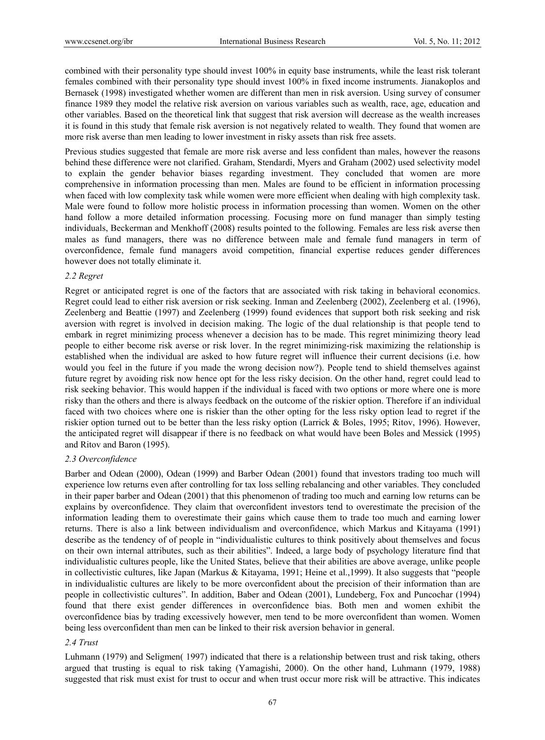combined with their personality type should invest 100% in equity base instruments, while the least risk tolerant females combined with their personality type should invest 100% in fixed income instruments. Jianakoplos and Bernasek (1998) investigated whether women are different than men in risk aversion. Using survey of consumer finance 1989 they model the relative risk aversion on various variables such as wealth, race, age, education and other variables. Based on the theoretical link that suggest that risk aversion will decrease as the wealth increases it is found in this study that female risk aversion is not negatively related to wealth. They found that women are more risk averse than men leading to lower investment in risky assets than risk free assets.

Previous studies suggested that female are more risk averse and less confident than males, however the reasons behind these difference were not clarified. Graham, Stendardi, Myers and Graham (2002) used selectivity model to explain the gender behavior biases regarding investment. They concluded that women are more comprehensive in information processing than men. Males are found to be efficient in information processing when faced with low complexity task while women were more efficient when dealing with high complexity task. Male were found to follow more holistic process in information processing than women. Women on the other hand follow a more detailed information processing. Focusing more on fund manager than simply testing individuals, Beckerman and Menkhoff (2008) results pointed to the following. Females are less risk averse then males as fund managers, there was no difference between male and female fund managers in term of overconfidence, female fund managers avoid competition, financial expertise reduces gender differences however does not totally eliminate it.

#### *2.2 Regret*

Regret or anticipated regret is one of the factors that are associated with risk taking in behavioral economics. Regret could lead to either risk aversion or risk seeking. Inman and Zeelenberg (2002), Zeelenberg et al. (1996), Zeelenberg and Beattie (1997) and Zeelenberg (1999) found evidences that support both risk seeking and risk aversion with regret is involved in decision making. The logic of the dual relationship is that people tend to embark in regret minimizing process whenever a decision has to be made. This regret minimizing theory lead people to either become risk averse or risk lover. In the regret minimizing-risk maximizing the relationship is established when the individual are asked to how future regret will influence their current decisions (i.e. how would you feel in the future if you made the wrong decision now?). People tend to shield themselves against future regret by avoiding risk now hence opt for the less risky decision. On the other hand, regret could lead to risk seeking behavior. This would happen if the individual is faced with two options or more where one is more risky than the others and there is always feedback on the outcome of the riskier option. Therefore if an individual faced with two choices where one is riskier than the other opting for the less risky option lead to regret if the riskier option turned out to be better than the less risky option (Larrick & Boles, 1995; Ritov, 1996). However, the anticipated regret will disappear if there is no feedback on what would have been Boles and Messick (1995) and Ritov and Baron (1995).

#### *2.3 Overconfidence*

Barber and Odean (2000), Odean (1999) and Barber Odean (2001) found that investors trading too much will experience low returns even after controlling for tax loss selling rebalancing and other variables. They concluded in their paper barber and Odean (2001) that this phenomenon of trading too much and earning low returns can be explains by overconfidence. They claim that overconfident investors tend to overestimate the precision of the information leading them to overestimate their gains which cause them to trade too much and earning lower returns. There is also a link between individualism and overconfidence, which Markus and Kitayama (1991) describe as the tendency of of people in "individualistic cultures to think positively about themselves and focus on their own internal attributes, such as their abilities". Indeed, a large body of psychology literature find that individualistic cultures people, like the United States, believe that their abilities are above average, unlike people in collectivistic cultures, like Japan (Markus & Kitayama, 1991; Heine et al.,1999). It also suggests that "people in individualistic cultures are likely to be more overconfident about the precision of their information than are people in collectivistic cultures". In addition, Baber and Odean (2001), Lundeberg, Fox and Puncochar (1994) found that there exist gender differences in overconfidence bias. Both men and women exhibit the overconfidence bias by trading excessively however, men tend to be more overconfident than women. Women being less overconfident than men can be linked to their risk aversion behavior in general.

## *2.4 Trust*

Luhmann (1979) and Seligmen( 1997) indicated that there is a relationship between trust and risk taking, others argued that trusting is equal to risk taking (Yamagishi, 2000). On the other hand, Luhmann (1979, 1988) suggested that risk must exist for trust to occur and when trust occur more risk will be attractive. This indicates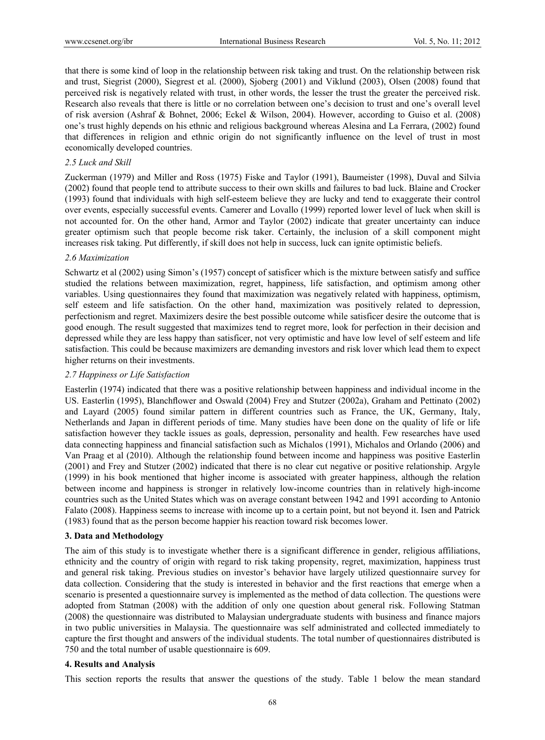that there is some kind of loop in the relationship between risk taking and trust. On the relationship between risk and trust, Siegrist (2000), Siegrest et al. (2000), Sjoberg (2001) and Viklund (2003), Olsen (2008) found that perceived risk is negatively related with trust, in other words, the lesser the trust the greater the perceived risk. Research also reveals that there is little or no correlation between one's decision to trust and one's overall level of risk aversion (Ashraf & Bohnet, 2006; Eckel & Wilson, 2004). However, according to Guiso et al. (2008) one's trust highly depends on his ethnic and religious background whereas Alesina and La Ferrara, (2002) found that differences in religion and ethnic origin do not significantly influence on the level of trust in most economically developed countries.

## *2.5 Luck and Skill*

Zuckerman (1979) and Miller and Ross (1975) Fiske and Taylor (1991), Baumeister (1998), Duval and Silvia (2002) found that people tend to attribute success to their own skills and failures to bad luck. Blaine and Crocker (1993) found that individuals with high self-esteem believe they are lucky and tend to exaggerate their control over events, especially successful events. Camerer and Lovallo (1999) reported lower level of luck when skill is not accounted for. On the other hand, Armor and Taylor (2002) indicate that greater uncertainty can induce greater optimism such that people become risk taker. Certainly, the inclusion of a skill component might increases risk taking. Put differently, if skill does not help in success, luck can ignite optimistic beliefs.

# *2.6 Maximization*

Schwartz et al (2002) using Simon's (1957) concept of satisficer which is the mixture between satisfy and suffice studied the relations between maximization, regret, happiness, life satisfaction, and optimism among other variables. Using questionnaires they found that maximization was negatively related with happiness, optimism, self esteem and life satisfaction. On the other hand, maximization was positively related to depression, perfectionism and regret. Maximizers desire the best possible outcome while satisficer desire the outcome that is good enough. The result suggested that maximizes tend to regret more, look for perfection in their decision and depressed while they are less happy than satisficer, not very optimistic and have low level of self esteem and life satisfaction. This could be because maximizers are demanding investors and risk lover which lead them to expect higher returns on their investments.

## *2.7 Happiness or Life Satisfaction*

Easterlin (1974) indicated that there was a positive relationship between happiness and individual income in the US. Easterlin (1995), Blanchflower and Oswald (2004) Frey and Stutzer (2002a), Graham and Pettinato (2002) and Layard (2005) found similar pattern in different countries such as France, the UK, Germany, Italy, Netherlands and Japan in different periods of time. Many studies have been done on the quality of life or life satisfaction however they tackle issues as goals, depression, personality and health. Few researches have used data connecting happiness and financial satisfaction such as Michalos (1991), Michalos and Orlando (2006) and Van Praag et al (2010). Although the relationship found between income and happiness was positive Easterlin (2001) and Frey and Stutzer (2002) indicated that there is no clear cut negative or positive relationship. Argyle (1999) in his book mentioned that higher income is associated with greater happiness, although the relation between income and happiness is stronger in relatively low-income countries than in relatively high-income countries such as the United States which was on average constant between 1942 and 1991 according to Antonio Falato (2008). Happiness seems to increase with income up to a certain point, but not beyond it. Isen and Patrick (1983) found that as the person become happier his reaction toward risk becomes lower.

## **3. Data and Methodology**

The aim of this study is to investigate whether there is a significant difference in gender, religious affiliations, ethnicity and the country of origin with regard to risk taking propensity, regret, maximization, happiness trust and general risk taking. Previous studies on investor's behavior have largely utilized questionnaire survey for data collection. Considering that the study is interested in behavior and the first reactions that emerge when a scenario is presented a questionnaire survey is implemented as the method of data collection. The questions were adopted from Statman (2008) with the addition of only one question about general risk. Following Statman (2008) the questionnaire was distributed to Malaysian undergraduate students with business and finance majors in two public universities in Malaysia. The questionnaire was self administrated and collected immediately to capture the first thought and answers of the individual students. The total number of questionnaires distributed is 750 and the total number of usable questionnaire is 609.

## **4. Results and Analysis**

This section reports the results that answer the questions of the study. Table 1 below the mean standard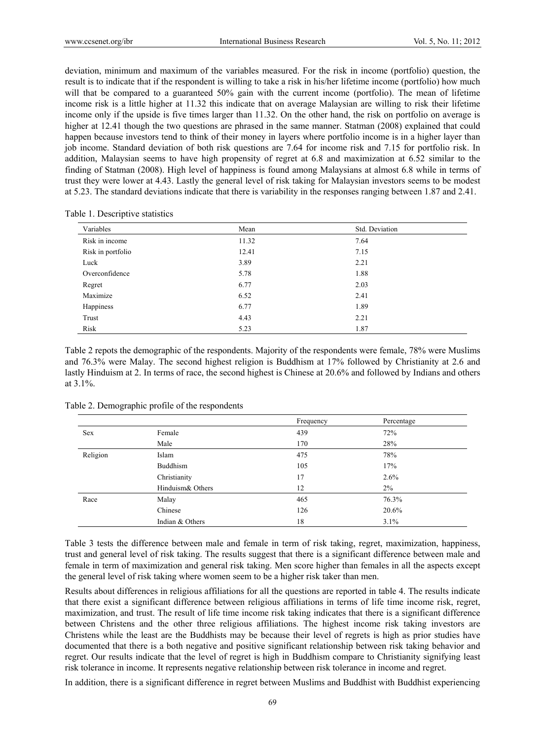deviation, minimum and maximum of the variables measured. For the risk in income (portfolio) question, the result is to indicate that if the respondent is willing to take a risk in his/her lifetime income (portfolio) how much will that be compared to a guaranteed 50% gain with the current income (portfolio). The mean of lifetime income risk is a little higher at 11.32 this indicate that on average Malaysian are willing to risk their lifetime income only if the upside is five times larger than 11.32. On the other hand, the risk on portfolio on average is higher at 12.41 though the two questions are phrased in the same manner. Statman (2008) explained that could happen because investors tend to think of their money in layers where portfolio income is in a higher layer than job income. Standard deviation of both risk questions are 7.64 for income risk and 7.15 for portfolio risk. In addition, Malaysian seems to have high propensity of regret at 6.8 and maximization at 6.52 similar to the finding of Statman (2008). High level of happiness is found among Malaysians at almost 6.8 while in terms of trust they were lower at 4.43. Lastly the general level of risk taking for Malaysian investors seems to be modest at 5.23. The standard deviations indicate that there is variability in the responses ranging between 1.87 and 2.41.

|  | Table 1. Descriptive statistics |  |
|--|---------------------------------|--|
|--|---------------------------------|--|

| Variables         | Mean  | Std. Deviation |  |
|-------------------|-------|----------------|--|
| Risk in income    | 11.32 | 7.64           |  |
| Risk in portfolio | 12.41 | 7.15           |  |
| Luck              | 3.89  | 2.21           |  |
| Overconfidence    | 5.78  | 1.88           |  |
| Regret            | 6.77  | 2.03           |  |
| Maximize          | 6.52  | 2.41           |  |
| Happiness         | 6.77  | 1.89           |  |
| Trust             | 4.43  | 2.21           |  |
| Risk              | 5.23  | 1.87           |  |

Table 2 repots the demographic of the respondents. Majority of the respondents were female, 78% were Muslims and 76.3% were Malay. The second highest religion is Buddhism at 17% followed by Christianity at 2.6 and lastly Hinduism at 2. In terms of race, the second highest is Chinese at 20.6% and followed by Indians and others at 3.1%.

|          |                  | Frequency | Percentage |  |
|----------|------------------|-----------|------------|--|
| Sex      | Female           | 439       | 72%        |  |
|          | Male             | 170       | 28%        |  |
| Religion | Islam            | 475       | 78%        |  |
|          | Buddhism         | 105       | 17%        |  |
|          | Christianity     | 17        | $2.6\%$    |  |
|          | Hinduism& Others | 12        | 2%         |  |
| Race     | Malay            | 465       | 76.3%      |  |
|          | Chinese          | 126       | 20.6%      |  |
|          | Indian & Others  | 18        | 3.1%       |  |

Table 2. Demographic profile of the respondents

Table 3 tests the difference between male and female in term of risk taking, regret, maximization, happiness, trust and general level of risk taking. The results suggest that there is a significant difference between male and female in term of maximization and general risk taking. Men score higher than females in all the aspects except the general level of risk taking where women seem to be a higher risk taker than men.

Results about differences in religious affiliations for all the questions are reported in table 4. The results indicate that there exist a significant difference between religious affiliations in terms of life time income risk, regret, maximization, and trust. The result of life time income risk taking indicates that there is a significant difference between Christens and the other three religious affiliations. The highest income risk taking investors are Christens while the least are the Buddhists may be because their level of regrets is high as prior studies have documented that there is a both negative and positive significant relationship between risk taking behavior and regret. Our results indicate that the level of regret is high in Buddhism compare to Christianity signifying least risk tolerance in income. It represents negative relationship between risk tolerance in income and regret.

In addition, there is a significant difference in regret between Muslims and Buddhist with Buddhist experiencing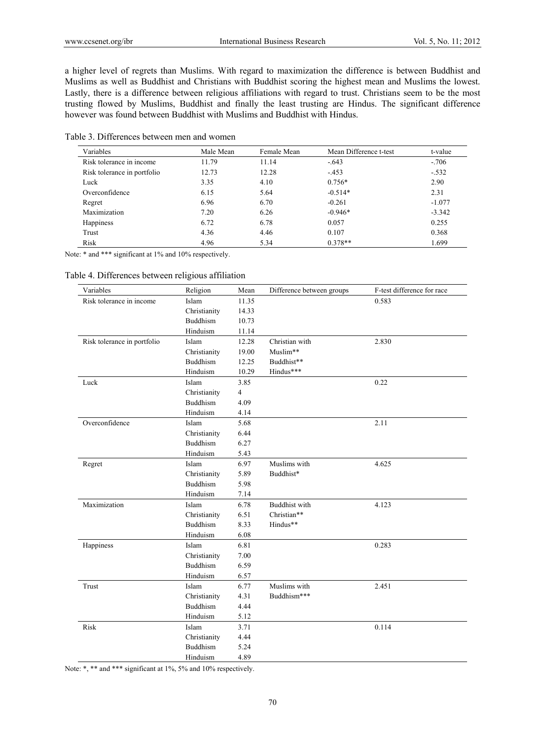a higher level of regrets than Muslims. With regard to maximization the difference is between Buddhist and Muslims as well as Buddhist and Christians with Buddhist scoring the highest mean and Muslims the lowest. Lastly, there is a difference between religious affiliations with regard to trust. Christians seem to be the most trusting flowed by Muslims, Buddhist and finally the least trusting are Hindus. The significant difference however was found between Buddhist with Muslims and Buddhist with Hindus.

| Table 3. Differences between men and women |  |
|--------------------------------------------|--|
|--------------------------------------------|--|

| Variables                   | Male Mean | Female Mean | Mean Difference t-test | t-value  |
|-----------------------------|-----------|-------------|------------------------|----------|
| Risk tolerance in income    | 11.79     | 11.14       | $-.643$                | $-.706$  |
| Risk tolerance in portfolio | 12.73     | 12.28       | $-453$                 | $-.532$  |
| Luck                        | 3.35      | 4.10        | $0.756*$               | 2.90     |
| Overconfidence              | 6.15      | 5.64        | $-0.514*$              | 2.31     |
| Regret                      | 6.96      | 6.70        | $-0.261$               | $-1.077$ |
| Maximization                | 7.20      | 6.26        | $-0.946*$              | $-3.342$ |
| Happiness                   | 6.72      | 6.78        | 0.057                  | 0.255    |
| Trust                       | 4.36      | 4.46        | 0.107                  | 0.368    |
| Risk                        | 4.96      | 5.34        | $0.378**$              | 1.699    |

Note: \* and \*\*\* significant at 1% and 10% respectively.

| Table 4. Differences between religious affiliation |  |  |  |
|----------------------------------------------------|--|--|--|
|----------------------------------------------------|--|--|--|

| Variables                   | Religion        | Mean  | Difference between groups | F-test difference for race |
|-----------------------------|-----------------|-------|---------------------------|----------------------------|
| Risk tolerance in income    | Islam           | 11.35 |                           | 0.583                      |
|                             | Christianity    | 14.33 |                           |                            |
|                             | Buddhism        | 10.73 |                           |                            |
|                             | Hinduism        | 11.14 |                           |                            |
| Risk tolerance in portfolio | Islam           | 12.28 | Christian with            | 2.830                      |
|                             | Christianity    | 19.00 | Muslim**                  |                            |
|                             | <b>Buddhism</b> | 12.25 | Buddhist**                |                            |
|                             | Hinduism        | 10.29 | Hindus***                 |                            |
| Luck                        | Islam           | 3.85  |                           | 0.22                       |
|                             | Christianity    | 4     |                           |                            |
|                             | <b>Buddhism</b> | 4.09  |                           |                            |
|                             | Hinduism        | 4.14  |                           |                            |
| Overconfidence              | Islam           | 5.68  |                           | 2.11                       |
|                             | Christianity    | 6.44  |                           |                            |
|                             | <b>Buddhism</b> | 6.27  |                           |                            |
|                             | Hinduism        | 5.43  |                           |                            |
| Regret                      | Islam           | 6.97  | Muslims with              | 4.625                      |
|                             | Christianity    | 5.89  | Buddhist*                 |                            |
|                             | Buddhism        | 5.98  |                           |                            |
|                             | Hinduism        | 7.14  |                           |                            |
| Maximization                | Islam           | 6.78  | <b>Buddhist</b> with      | 4.123                      |
|                             | Christianity    | 6.51  | Christian**               |                            |
|                             | <b>Buddhism</b> | 8.33  | Hindus**                  |                            |
|                             | Hinduism        | 6.08  |                           |                            |
| Happiness                   | Islam           | 6.81  |                           | 0.283                      |
|                             | Christianity    | 7.00  |                           |                            |
|                             | <b>Buddhism</b> | 6.59  |                           |                            |
|                             | Hinduism        | 6.57  |                           |                            |
| Trust                       | Islam           | 6.77  | Muslims with              | 2.451                      |
|                             | Christianity    | 4.31  | Buddhism***               |                            |
|                             | <b>Buddhism</b> | 4.44  |                           |                            |
|                             | Hinduism        | 5.12  |                           |                            |
| Risk                        | Islam           | 3.71  |                           | 0.114                      |
|                             | Christianity    | 4.44  |                           |                            |
|                             | Buddhism        | 5.24  |                           |                            |
|                             | Hinduism        | 4.89  |                           |                            |

Note: \*, \*\* and \*\*\* significant at 1%, 5% and 10% respectively.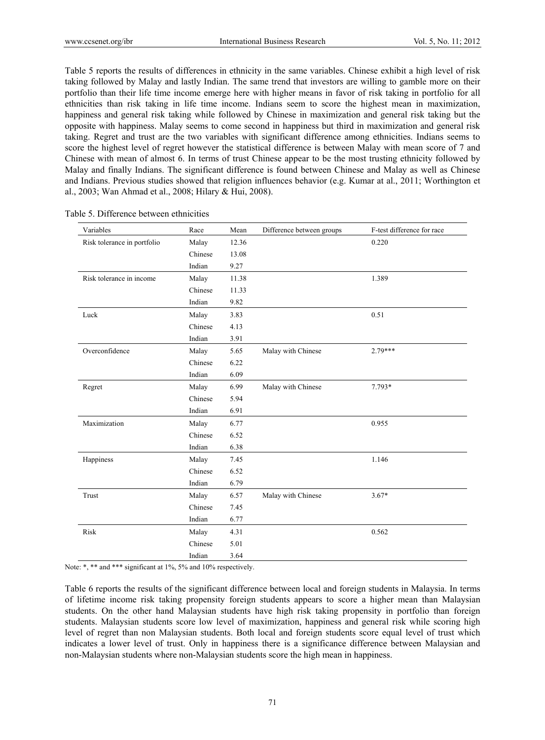Table 5 reports the results of differences in ethnicity in the same variables. Chinese exhibit a high level of risk taking followed by Malay and lastly Indian. The same trend that investors are willing to gamble more on their portfolio than their life time income emerge here with higher means in favor of risk taking in portfolio for all ethnicities than risk taking in life time income. Indians seem to score the highest mean in maximization, happiness and general risk taking while followed by Chinese in maximization and general risk taking but the opposite with happiness. Malay seems to come second in happiness but third in maximization and general risk taking. Regret and trust are the two variables with significant difference among ethnicities. Indians seems to score the highest level of regret however the statistical difference is between Malay with mean score of 7 and Chinese with mean of almost 6. In terms of trust Chinese appear to be the most trusting ethnicity followed by Malay and finally Indians. The significant difference is found between Chinese and Malay as well as Chinese and Indians. Previous studies showed that religion influences behavior (e.g. Kumar at al., 2011; Worthington et al., 2003; Wan Ahmad et al., 2008; Hilary & Hui, 2008).

| Variables                   | Race    | Mean  | Difference between groups | F-test difference for race |
|-----------------------------|---------|-------|---------------------------|----------------------------|
| Risk tolerance in portfolio | Malay   | 12.36 |                           | 0.220                      |
|                             | Chinese | 13.08 |                           |                            |
|                             | Indian  | 9.27  |                           |                            |
| Risk tolerance in income    | Malay   | 11.38 |                           | 1.389                      |
|                             | Chinese | 11.33 |                           |                            |
|                             | Indian  | 9.82  |                           |                            |
| Luck                        | Malay   | 3.83  |                           | 0.51                       |
|                             | Chinese | 4.13  |                           |                            |
|                             | Indian  | 3.91  |                           |                            |
| Overconfidence              | Malay   | 5.65  | Malay with Chinese        | 2.79***                    |
|                             | Chinese | 6.22  |                           |                            |
|                             | Indian  | 6.09  |                           |                            |
| Regret                      | Malay   | 6.99  | Malay with Chinese        | 7.793*                     |
|                             | Chinese | 5.94  |                           |                            |
|                             | Indian  | 6.91  |                           |                            |
| Maximization                | Malay   | 6.77  |                           | 0.955                      |
|                             | Chinese | 6.52  |                           |                            |
|                             | Indian  | 6.38  |                           |                            |
| Happiness                   | Malay   | 7.45  |                           | 1.146                      |
|                             | Chinese | 6.52  |                           |                            |
|                             | Indian  | 6.79  |                           |                            |
| Trust                       | Malay   | 6.57  | Malay with Chinese        | $3.67*$                    |
|                             | Chinese | 7.45  |                           |                            |
|                             | Indian  | 6.77  |                           |                            |
| Risk                        | Malay   | 4.31  |                           | 0.562                      |
|                             | Chinese | 5.01  |                           |                            |
|                             | Indian  | 3.64  |                           |                            |

Table 5. Difference between ethnicities

Note: \*, \*\* and \*\*\* significant at 1%, 5% and 10% respectively.

Table 6 reports the results of the significant difference between local and foreign students in Malaysia. In terms of lifetime income risk taking propensity foreign students appears to score a higher mean than Malaysian students. On the other hand Malaysian students have high risk taking propensity in portfolio than foreign students. Malaysian students score low level of maximization, happiness and general risk while scoring high level of regret than non Malaysian students. Both local and foreign students score equal level of trust which indicates a lower level of trust. Only in happiness there is a significance difference between Malaysian and non-Malaysian students where non-Malaysian students score the high mean in happiness.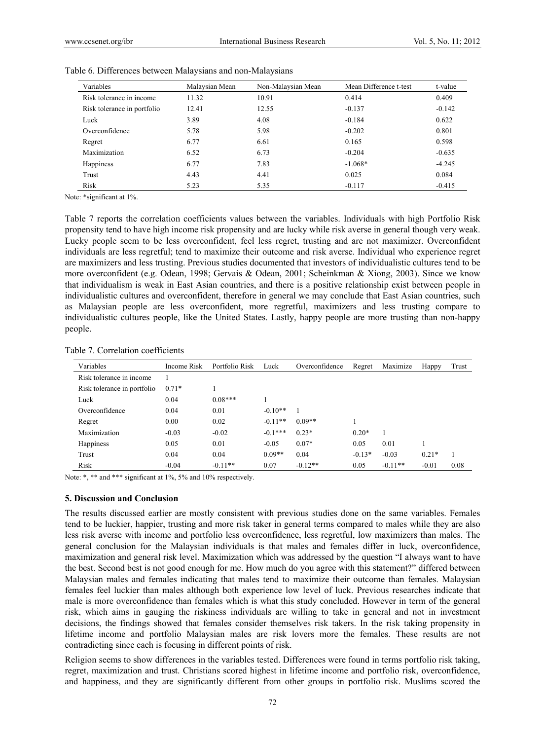| Variables                   | Malaysian Mean | Non-Malaysian Mean | Mean Difference t-test | t-value  |
|-----------------------------|----------------|--------------------|------------------------|----------|
| Risk tolerance in income    | 11.32          | 10.91              | 0.414                  | 0.409    |
| Risk tolerance in portfolio | 12.41          | 12.55              | $-0.137$               | $-0.142$ |
| Luck                        | 3.89           | 4.08               | $-0.184$               | 0.622    |
| Overconfidence              | 5.78           | 5.98               | $-0.202$               | 0.801    |
| Regret                      | 6.77           | 6.61               | 0.165                  | 0.598    |
| Maximization                | 6.52           | 6.73               | $-0.204$               | $-0.635$ |
| Happiness                   | 6.77           | 7.83               | $-1.068*$              | $-4.245$ |
| Trust                       | 4.43           | 4.41               | 0.025                  | 0.084    |
| Risk                        | 5.23           | 5.35               | $-0.117$               | $-0.415$ |

Table 6. Differences between Malaysians and non-Malaysians

Note: \*significant at 1%.

Table 7 reports the correlation coefficients values between the variables. Individuals with high Portfolio Risk propensity tend to have high income risk propensity and are lucky while risk averse in general though very weak. Lucky people seem to be less overconfident, feel less regret, trusting and are not maximizer. Overconfident individuals are less regretful; tend to maximize their outcome and risk averse. Individual who experience regret are maximizers and less trusting. Previous studies documented that investors of individualistic cultures tend to be more overconfident (e.g. Odean, 1998; Gervais & Odean, 2001; Scheinkman & Xiong, 2003). Since we know that individualism is weak in East Asian countries, and there is a positive relationship exist between people in individualistic cultures and overconfident, therefore in general we may conclude that East Asian countries, such as Malaysian people are less overconfident, more regretful, maximizers and less trusting compare to individualistic cultures people, like the United States. Lastly, happy people are more trusting than non-happy people.

Table 7. Correlation coefficients

| Variables                   | Income Risk | Portfolio Risk | Luck      | Overconfidence | Regret   | Maximize  | Happy   | Trust |
|-----------------------------|-------------|----------------|-----------|----------------|----------|-----------|---------|-------|
| Risk tolerance in income    |             |                |           |                |          |           |         |       |
| Risk tolerance in portfolio | $0.71*$     |                |           |                |          |           |         |       |
| Luck                        | 0.04        | $0.08***$      |           |                |          |           |         |       |
| Overconfidence              | 0.04        | 0.01           | $-0.10**$ |                |          |           |         |       |
| Regret                      | 0.00        | 0.02           | $-0.11**$ | $0.09**$       |          |           |         |       |
| Maximization                | $-0.03$     | $-0.02$        | $-0.1***$ | $0.23*$        | $0.20*$  |           |         |       |
| <b>Happiness</b>            | 0.05        | 0.01           | $-0.05$   | $0.07*$        | 0.05     | 0.01      |         |       |
| Trust                       | 0.04        | 0.04           | $0.09**$  | 0.04           | $-0.13*$ | $-0.03$   | $0.21*$ |       |
| Risk                        | $-0.04$     | $-0.11**$      | 0.07      | $-0.12**$      | 0.05     | $-0.11**$ | $-0.01$ | 0.08  |

Note: \*, \*\* and \*\*\* significant at 1%, 5% and 10% respectively.

## **5. Discussion and Conclusion**

The results discussed earlier are mostly consistent with previous studies done on the same variables. Females tend to be luckier, happier, trusting and more risk taker in general terms compared to males while they are also less risk averse with income and portfolio less overconfidence, less regretful, low maximizers than males. The general conclusion for the Malaysian individuals is that males and females differ in luck, overconfidence, maximization and general risk level. Maximization which was addressed by the question "I always want to have the best. Second best is not good enough for me. How much do you agree with this statement?" differed between Malaysian males and females indicating that males tend to maximize their outcome than females. Malaysian females feel luckier than males although both experience low level of luck. Previous researches indicate that male is more overconfidence than females which is what this study concluded. However in term of the general risk, which aims in gauging the riskiness individuals are willing to take in general and not in investment decisions, the findings showed that females consider themselves risk takers. In the risk taking propensity in lifetime income and portfolio Malaysian males are risk lovers more the females. These results are not contradicting since each is focusing in different points of risk.

Religion seems to show differences in the variables tested. Differences were found in terms portfolio risk taking, regret, maximization and trust. Christians scored highest in lifetime income and portfolio risk, overconfidence, and happiness, and they are significantly different from other groups in portfolio risk. Muslims scored the

72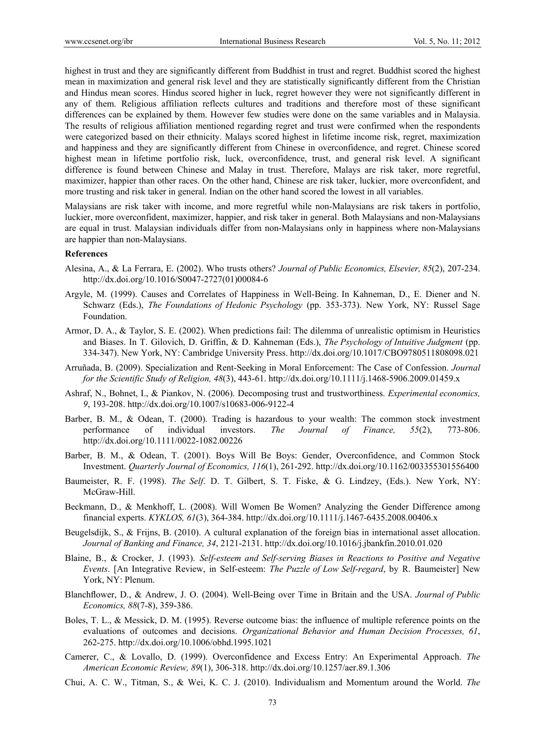highest in trust and they are significantly different from Buddhist in trust and regret. Buddhist scored the highest mean in maximization and general risk level and they are statistically significantly different from the Christian and Hindus mean scores. Hindus scored higher in luck, regret however they were not significantly different in any of them. Religious affiliation reflects cultures and traditions and therefore most of these significant differences can be explained by them. However few studies were done on the same variables and in Malaysia. The results of religious affiliation mentioned regarding regret and trust were confirmed when the respondents were categorized based on their ethnicity. Malays scored highest in lifetime income risk, regret, maximization and happiness and they are significantly different from Chinese in overconfidence, and regret. Chinese scored highest mean in lifetime portfolio risk, luck, overconfidence, trust, and general risk level. A significant difference is found between Chinese and Malay in trust. Therefore, Malays are risk taker, more regretful, maximizer, happier than other races. On the other hand, Chinese are risk taker, luckier, more overconfident, and more trusting and risk taker in general. Indian on the other hand scored the lowest in all variables.

Malaysians are risk taker with income, and more regretful while non-Malaysians are risk takers in portfolio, luckier, more overconfident, maximizer, happier, and risk taker in general. Both Malaysians and non-Malaysians are equal in trust. Malaysian individuals differ from non-Malaysians only in happiness where non-Malaysians are happier than non-Malaysians.

#### **References**

- Alesina, A., & La Ferrara, E. (2002). Who trusts others? *Journal of Public Economics, Elsevier, 85*(2), 207-234. http://dx.doi.org/10.1016/S0047-2727(01)00084-6
- Argyle, M. (1999). Causes and Correlates of Happiness in Well-Being. In Kahneman, D., E. Diener and N. Schwarz (Eds.), *The Foundations of Hedonic Psychology* (pp. 353-373). New York, NY: Russel Sage Foundation.
- Armor, D. A., & Taylor, S. E. (2002). When predictions fail: The dilemma of unrealistic optimism in Heuristics and Biases. In T. Gilovich, D. Griffin, & D. Kahneman (Eds.), *The Psychology of Intuitive Judgment* (pp. 334-347). New York, NY: Cambridge University Press. http://dx.doi.org/10.1017/CBO9780511808098.021
- Arruñada, B. (2009). Specialization and Rent-Seeking in Moral Enforcement: The Case of Confession. *Journal for the Scientific Study of Religion, 48*(3), 443-61. http://dx.doi.org/10.1111/j.1468-5906.2009.01459.x
- Ashraf, N., Bohnet, I., & Piankov, N. (2006). Decomposing trust and trustworthiness. *Experimental economics, 9*, 193-208. http://dx.doi.org/10.1007/s10683-006-9122-4
- Barber, B. M., & Odean, T. (2000). Trading is hazardous to your wealth: The common stock investment performance of individual investors. *The Journal of Finance, 55*(2), 773-806. http://dx.doi.org/10.1111/0022-1082.00226
- Barber, B. M., & Odean, T. (2001). Boys Will Be Boys: Gender, Overconfidence, and Common Stock Investment. *Quarterly Journal of Economics, 116*(1), 261-292. http://dx.doi.org/10.1162/003355301556400
- Baumeister, R. F. (1998). *The Self*. D. T. Gilbert, S. T. Fiske, & G. Lindzey, (Eds.). New York, NY: McGraw-Hill.
- Beckmann, D., & Menkhoff, L. (2008). Will Women Be Women? Analyzing the Gender Difference among financial experts. *KYKLOS, 61*(3), 364-384. http://dx.doi.org/10.1111/j.1467-6435.2008.00406.x
- Beugelsdijk, S., & Frijns, B. (2010). A cultural explanation of the foreign bias in international asset allocation. *Journal of Banking and Finance, 34*, 2121-2131. http://dx.doi.org/10.1016/j.jbankfin.2010.01.020
- Blaine, B., & Crocker, J. (1993). *Self-esteem and Self-serving Biases in Reactions to Positive and Negative Events*. [An Integrative Review, in Self-esteem: *The Puzzle of Low Self-regard*, by R. Baumeister] New York, NY: Plenum.
- Blanchflower, D., & Andrew, J. O. (2004). Well-Being over Time in Britain and the USA. *Journal of Public Economics, 88*(7-8), 359-386.
- Boles, T. L., & Messick, D. M. (1995). Reverse outcome bias: the influence of multiple reference points on the evaluations of outcomes and decisions. *Organizational Behavior and Human Decision Processes, 61*, 262-275. http://dx.doi.org/10.1006/obhd.1995.1021
- Camerer, C., & Lovallo, D. (1999). Overconfidence and Excess Entry: An Experimental Approach. *The American Economic Review, 89*(1), 306-318. http://dx.doi.org/10.1257/aer.89.1.306
- Chui, A. C. W., Titman, S., & Wei, K. C. J. (2010). Individualism and Momentum around the World. *The*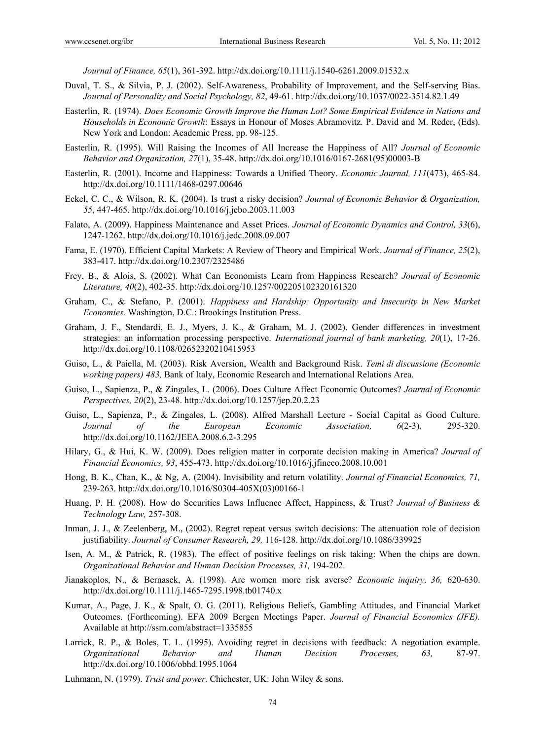*Journal of Finance, 65*(1), 361-392. http://dx.doi.org/10.1111/j.1540-6261.2009.01532.x

- Duval, T. S., & Silvia, P. J. (2002). Self-Awareness, Probability of Improvement, and the Self-serving Bias. *Journal of Personality and Social Psychology, 82*, 49-61. http://dx.doi.org/10.1037/0022-3514.82.1.49
- Easterlin, R. (1974). *Does Economic Growth Improve the Human Lot? Some Empirical Evidence in Nations and Households in Economic Growth*: Essays in Honour of Moses Abramovitz. P. David and M. Reder, (Eds). New York and London: Academic Press, pp. 98-125.
- Easterlin, R. (1995). Will Raising the Incomes of All Increase the Happiness of All? *Journal of Economic Behavior and Organization, 27*(1), 35-48. http://dx.doi.org/10.1016/0167-2681(95)00003-B
- Easterlin, R. (2001). Income and Happiness: Towards a Unified Theory. *Economic Journal, 111*(473), 465-84. http://dx.doi.org/10.1111/1468-0297.00646
- Eckel, C. C., & Wilson, R. K. (2004). Is trust a risky decision? *Journal of Economic Behavior & Organization, 55*, 447-465. http://dx.doi.org/10.1016/j.jebo.2003.11.003
- Falato, A. (2009). Happiness Maintenance and Asset Prices. *Journal of Economic Dynamics and Control, 33*(6), 1247-1262. http://dx.doi.org/10.1016/j.jedc.2008.09.007
- Fama, E. (1970). Efficient Capital Markets: A Review of Theory and Empirical Work. *Journal of Finance, 25*(2), 383-417. http://dx.doi.org/10.2307/2325486
- Frey, B., & Alois, S. (2002). What Can Economists Learn from Happiness Research? *Journal of Economic Literature, 40*(2), 402-35. http://dx.doi.org/10.1257/002205102320161320
- Graham, C., & Stefano, P. (2001). *Happiness and Hardship: Opportunity and Insecurity in New Market Economies.* Washington, D.C.: Brookings Institution Press.
- Graham, J. F., Stendardi, E. J., Myers, J. K., & Graham, M. J. (2002). Gender differences in investment strategies: an information processing perspective. *International journal of bank marketing, 20*(1), 17-26. http://dx.doi.org/10.1108/02652320210415953
- Guiso, L., & Paiella, M. (2003). Risk Aversion, Wealth and Background Risk. *Temi di discussione (Economic working papers) 483,* Bank of Italy, Economic Research and International Relations Area.
- Guiso, L., Sapienza, P., & Zingales, L. (2006). Does Culture Affect Economic Outcomes? *Journal of Economic Perspectives, 20*(2), 23-48. http://dx.doi.org/10.1257/jep.20.2.23
- Guiso, L., Sapienza, P., & Zingales, L. (2008). Alfred Marshall Lecture Social Capital as Good Culture. *Journal of the European Economic Association, 6*(2-3), 295-320. http://dx.doi.org/10.1162/JEEA.2008.6.2-3.295
- Hilary, G., & Hui, K. W. (2009). Does religion matter in corporate decision making in America? *Journal of Financial Economics, 93*, 455-473. http://dx.doi.org/10.1016/j.jfineco.2008.10.001
- Hong, B. K., Chan, K., & Ng, A. (2004). Invisibility and return volatility. *Journal of Financial Economics, 71,*  239-263. http://dx.doi.org/10.1016/S0304-405X(03)00166-1
- Huang, P. H. (2008). How do Securities Laws Influence Affect, Happiness, & Trust? *Journal of Business & Technology Law,* 257-308.
- Inman, J. J., & Zeelenberg, M., (2002). Regret repeat versus switch decisions: The attenuation role of decision justifiability. *Journal of Consumer Research, 29,* 116-128. http://dx.doi.org/10.1086/339925
- Isen, A. M., & Patrick, R. (1983). The effect of positive feelings on risk taking: When the chips are down. *Organizational Behavior and Human Decision Processes, 31,* 194-202.
- Jianakoplos, N., & Bernasek, A. (1998). Are women more risk averse? *Economic inquiry, 36,* 620-630. http://dx.doi.org/10.1111/j.1465-7295.1998.tb01740.x
- Kumar, A., Page, J. K., & Spalt, O. G. (2011). Religious Beliefs, Gambling Attitudes, and Financial Market Outcomes. (Forthcoming). EFA 2009 Bergen Meetings Paper. *Journal of Financial Economics (JFE).* Available at http://ssrn.com/abstract=1335855
- Larrick, R. P., & Boles, T. L. (1995). Avoiding regret in decisions with feedback: A negotiation example. *Organizational Behavior and Human Decision Processes, 63,* 87-97. http://dx.doi.org/10.1006/obhd.1995.1064
- Luhmann, N. (1979). *Trust and power*. Chichester, UK: John Wiley & sons.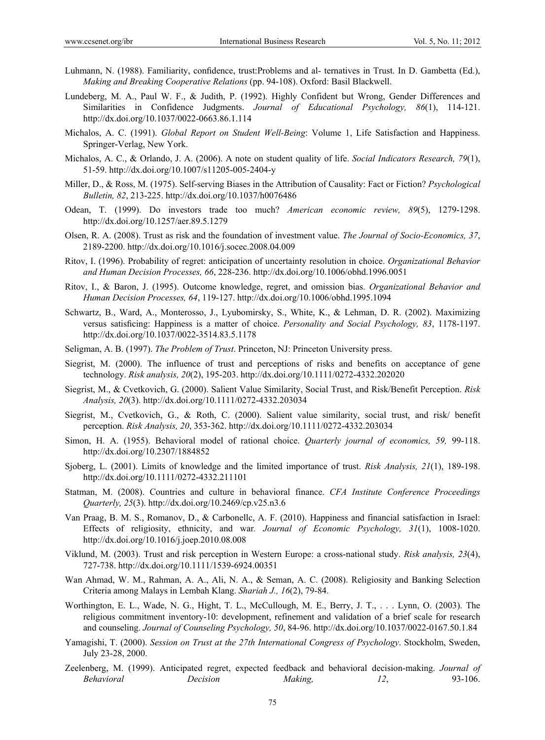- Luhmann, N. (1988). Familiarity, confidence, trust:Problems and al- ternatives in Trust. In D. Gambetta (Ed.), *Making and Breaking Cooperative Relations* (pp. 94-108). Oxford: Basil Blackwell.
- Lundeberg, M. A., Paul W. F., & Judith, P. (1992). Highly Confident but Wrong, Gender Differences and Similarities in Confidence Judgments. *Journal of Educational Psychology, 86*(1), 114-121. http://dx.doi.org/10.1037/0022-0663.86.1.114
- Michalos, A. C. (1991). *Global Report on Student Well-Being*: Volume 1, Life Satisfaction and Happiness. Springer-Verlag, New York.
- Michalos, A. C., & Orlando, J. A. (2006). A note on student quality of life. *Social Indicators Research, 79*(1), 51-59. http://dx.doi.org/10.1007/s11205-005-2404-y
- Miller, D., & Ross, M. (1975). Self-serving Biases in the Attribution of Causality: Fact or Fiction? *Psychological Bulletin, 82*, 213-225. http://dx.doi.org/10.1037/h0076486
- Odean, T. (1999). Do investors trade too much? *American economic review, 89*(5), 1279-1298. http://dx.doi.org/10.1257/aer.89.5.1279
- Olsen, R. A. (2008). Trust as risk and the foundation of investment value. *The Journal of Socio-Economics, 37*, 2189-2200. http://dx.doi.org/10.1016/j.socec.2008.04.009
- Ritov, I. (1996). Probability of regret: anticipation of uncertainty resolution in choice. *Organizational Behavior and Human Decision Processes, 66*, 228-236. http://dx.doi.org/10.1006/obhd.1996.0051
- Ritov, I., & Baron, J. (1995). Outcome knowledge, regret, and omission bias. *Organizational Behavior and Human Decision Processes, 64*, 119-127. http://dx.doi.org/10.1006/obhd.1995.1094
- Schwartz, B., Ward, A., Monterosso, J., Lyubomirsky, S., White, K., & Lehman, D. R. (2002). Maximizing versus satisficing: Happiness is a matter of choice. *Personality and Social Psychology, 83*, 1178-1197. http://dx.doi.org/10.1037/0022-3514.83.5.1178
- Seligman, A. B. (1997). *The Problem of Trust*. Princeton, NJ: Princeton University press.
- Siegrist, M. (2000). The influence of trust and perceptions of risks and benefits on acceptance of gene technology. *Risk analysis, 20*(2), 195-203. http://dx.doi.org/10.1111/0272-4332.202020
- Siegrist, M., & Cvetkovich, G. (2000). Salient Value Similarity, Social Trust, and Risk/Benefit Perception. *Risk Analysis, 20*(3). http://dx.doi.org/10.1111/0272-4332.203034
- Siegrist, M., Cvetkovich, G., & Roth, C. (2000). Salient value similarity, social trust, and risk/ benefit perception. *Risk Analysis, 20*, 353-362. http://dx.doi.org/10.1111/0272-4332.203034
- Simon, H. A. (1955). Behavioral model of rational choice. *Quarterly journal of economics, 59,* 99-118. http://dx.doi.org/10.2307/1884852
- Sjoberg, L. (2001). Limits of knowledge and the limited importance of trust. *Risk Analysis, 21*(1), 189-198. http://dx.doi.org/10.1111/0272-4332.211101
- Statman, M. (2008). Countries and culture in behavioral finance. *CFA Institute Conference Proceedings Quarterly, 25*(3). http://dx.doi.org/10.2469/cp.v25.n3.6
- Van Praag, B. M. S., Romanov, D., & Carbonellc, A. F. (2010). Happiness and financial satisfaction in Israel: Effects of religiosity, ethnicity, and war*. Journal of Economic Psychology, 31*(1), 1008-1020. http://dx.doi.org/10.1016/j.joep.2010.08.008
- Viklund, M. (2003). Trust and risk perception in Western Europe: a cross-national study. *Risk analysis, 23*(4), 727-738. http://dx.doi.org/10.1111/1539-6924.00351
- Wan Ahmad, W. M., Rahman, A. A., Ali, N. A., & Seman, A. C. (2008). Religiosity and Banking Selection Criteria among Malays in Lembah Klang. *Shariah J., 16*(2), 79-84.
- Worthington, E. L., Wade, N. G., Hight, T. L., McCullough, M. E., Berry, J. T., . . . Lynn, O. (2003). The religious commitment inventory-10: development, refinement and validation of a brief scale for research and counseling. *Journal of Counseling Psychology, 50*, 84-96. http://dx.doi.org/10.1037/0022-0167.50.1.84
- Yamagishi, T. (2000). *Session on Trust at the 27th International Congress of Psychology*. Stockholm, Sweden, July 23-28, 2000.
- Zeelenberg, M. (1999). Anticipated regret, expected feedback and behavioral decision-making. *Journal of Behavioral Decision Making, 12*, 93-106.